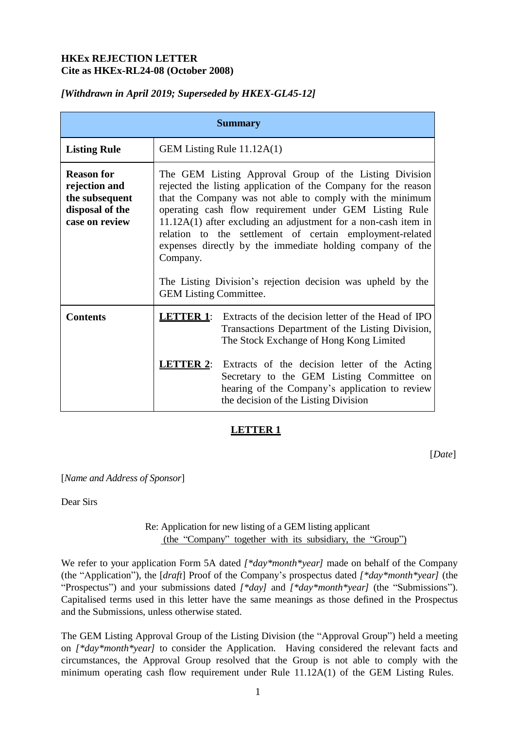#### **HKEx REJECTION LETTER Cite as HKEx-RL24-08 (October 2008)**

# **Summary Listing Rule** GEM Listing Rule 11.12A(1) **Reason for rejection and the subsequent disposal of the case on review** The GEM Listing Approval Group of the Listing Division rejected the listing application of the Company for the reason that the Company was not able to comply with the minimum operating cash flow requirement under GEM Listing Rule 11.12A(1) after excluding an adjustment for a non-cash item in relation to the settlement of certain employment-related expenses directly by the immediate holding company of the Company. The Listing Division's rejection decision was upheld by the GEM Listing Committee. **Contents LETTER 1**: Extracts of the decision letter of the Head of IPO Transactions Department of the Listing Division, The Stock Exchange of Hong Kong Limited **LETTER 2**: Extracts of the decision letter of the Acting Secretary to the GEM Listing Committee on hearing of the Company's application to review the decision of the Listing Division

# *[Withdrawn in April 2019; Superseded by HKEX-GL45-12]*

# **LETTER 1**

[*Date*]

[*Name and Address of Sponsor*]

Dear Sirs

#### Re: Application for new listing of a GEM listing applicant (the "Company" together with its subsidiary, the "Group")

We refer to your application Form 5A dated [\**day\*month\*year*] made on behalf of the Company (the "Application"), the [*draft*] Proof of the Company's prospectus dated *[\*day\*month\*year]* (the "Prospectus") and your submissions dated *[\*day]* and *[\*day\*month\*year]* (the "Submissions"). Capitalised terms used in this letter have the same meanings as those defined in the Prospectus and the Submissions, unless otherwise stated.

The GEM Listing Approval Group of the Listing Division (the "Approval Group") held a meeting on *[\*day\*month\*year]* to consider the Application. Having considered the relevant facts and circumstances, the Approval Group resolved that the Group is not able to comply with the minimum operating cash flow requirement under Rule 11.12A(1) of the GEM Listing Rules.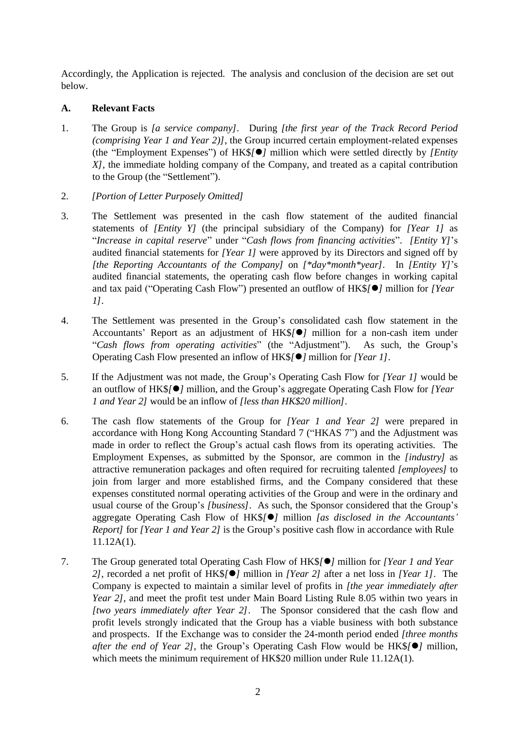Accordingly, the Application is rejected. The analysis and conclusion of the decision are set out below.

#### **A. Relevant Facts**

- 1. The Group is *[a service company]*. During *[the first year of the Track Record Period (comprising Year 1 and Year 2)]*, the Group incurred certain employment-related expenses (the "Employment Expenses") of HK\$*[]* million which were settled directly by *[Entity X]*, the immediate holding company of the Company, and treated as a capital contribution to the Group (the "Settlement").
- 2. *[Portion of Letter Purposely Omitted]*
- 3. The Settlement was presented in the cash flow statement of the audited financial statements of *[Entity Y]* (the principal subsidiary of the Company) for *[Year 1]* as "*Increase in capital reserve*" under "*Cash flows from financing activities*". *[Entity Y]*'s audited financial statements for *[Year 1]* were approved by its Directors and signed off by *[the Reporting Accountants of the Company]* on *[\*day\*month\*year]*. In *[Entity Y]*'s audited financial statements, the operating cash flow before changes in working capital and tax paid ("Operating Cash Flow") presented an outflow of HK\$*[]* million for *[Year 1]*.
- 4. The Settlement was presented in the Group's consolidated cash flow statement in the Accountants' Report as an adjustment of HK\$*[]* million for a non-cash item under "*Cash flows from operating activities*" (the "Adjustment"). As such, the Group's Operating Cash Flow presented an inflow of HK\$*[]* million for *[Year 1]*.
- 5. If the Adjustment was not made, the Group's Operating Cash Flow for *[Year 1]* would be an outflow of HK\$*[]* million, and the Group's aggregate Operating Cash Flow for *[Year 1 and Year 2]* would be an inflow of *[less than HK\$20 million]*.
- 6. The cash flow statements of the Group for *[Year 1 and Year 2]* were prepared in accordance with Hong Kong Accounting Standard 7 ("HKAS 7") and the Adjustment was made in order to reflect the Group's actual cash flows from its operating activities. The Employment Expenses, as submitted by the Sponsor, are common in the *[industry]* as attractive remuneration packages and often required for recruiting talented *[employees]* to join from larger and more established firms, and the Company considered that these expenses constituted normal operating activities of the Group and were in the ordinary and usual course of the Group's *[business]*. As such, the Sponsor considered that the Group's aggregate Operating Cash Flow of HK\$*[]* million *[as disclosed in the Accountants' Report]* for *[Year 1 and Year 2]* is the Group's positive cash flow in accordance with Rule 11.12A(1).
- 7. The Group generated total Operating Cash Flow of HK\$*[]* million for *[Year 1 and Year 2]*, recorded a net profit of HK\$*[]* million in *[Year 2]* after a net loss in *[Year 1]*. The Company is expected to maintain a similar level of profits in *[the year immediately after Year 2]*, and meet the profit test under Main Board Listing Rule 8.05 within two years in *[two years immediately after Year 2]*. The Sponsor considered that the cash flow and profit levels strongly indicated that the Group has a viable business with both substance and prospects. If the Exchange was to consider the 24-month period ended *[three months after the end of Year 2]*, the Group's Operating Cash Flow would be HK\$*[]* million, which meets the minimum requirement of HK\$20 million under Rule 11.12A(1).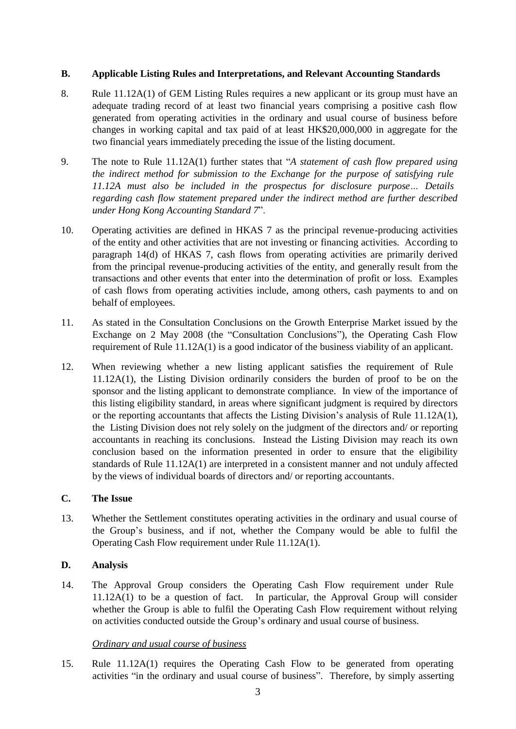#### **B. Applicable Listing Rules and Interpretations, and Relevant Accounting Standards**

- 8. Rule 11.12A(1) of GEM Listing Rules requires a new applicant or its group must have an adequate trading record of at least two financial years comprising a positive cash flow generated from operating activities in the ordinary and usual course of business before changes in working capital and tax paid of at least HK\$20,000,000 in aggregate for the two financial years immediately preceding the issue of the listing document.
- 9. The note to Rule 11.12A(1) further states that "*A statement of cash flow prepared using the indirect method for submission to the Exchange for the purpose of satisfying rule 11.12A must also be included in the prospectus for disclosure purpose… Details regarding cash flow statement prepared under the indirect method are further described under Hong Kong Accounting Standard 7*".
- 10. Operating activities are defined in HKAS 7 as the principal revenue-producing activities of the entity and other activities that are not investing or financing activities. According to paragraph 14(d) of HKAS 7, cash flows from operating activities are primarily derived from the principal revenue-producing activities of the entity, and generally result from the transactions and other events that enter into the determination of profit or loss. Examples of cash flows from operating activities include, among others, cash payments to and on behalf of employees.
- 11. As stated in the Consultation Conclusions on the Growth Enterprise Market issued by the Exchange on 2 May 2008 (the "Consultation Conclusions"), the Operating Cash Flow requirement of Rule 11.12A(1) is a good indicator of the business viability of an applicant.
- 12. When reviewing whether a new listing applicant satisfies the requirement of Rule 11.12A(1), the Listing Division ordinarily considers the burden of proof to be on the sponsor and the listing applicant to demonstrate compliance. In view of the importance of this listing eligibility standard, in areas where significant judgment is required by directors or the reporting accountants that affects the Listing Division's analysis of Rule 11.12A(1), the Listing Division does not rely solely on the judgment of the directors and/ or reporting accountants in reaching its conclusions. Instead the Listing Division may reach its own conclusion based on the information presented in order to ensure that the eligibility standards of Rule 11.12A(1) are interpreted in a consistent manner and not unduly affected by the views of individual boards of directors and/ or reporting accountants.

# **C. The Issue**

13. Whether the Settlement constitutes operating activities in the ordinary and usual course of the Group's business, and if not, whether the Company would be able to fulfil the Operating Cash Flow requirement under Rule 11.12A(1).

# **D. Analysis**

14. The Approval Group considers the Operating Cash Flow requirement under Rule 11.12A(1) to be a question of fact. In particular, the Approval Group will consider whether the Group is able to fulfil the Operating Cash Flow requirement without relying on activities conducted outside the Group's ordinary and usual course of business.

# *Ordinary and usual course of business*

15. Rule 11.12A(1) requires the Operating Cash Flow to be generated from operating activities "in the ordinary and usual course of business". Therefore, by simply asserting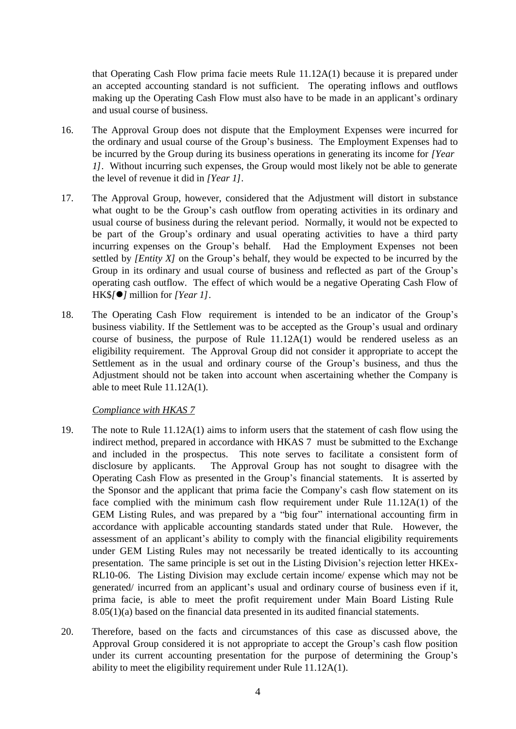that Operating Cash Flow prima facie meets Rule 11.12A(1) because it is prepared under an accepted accounting standard is not sufficient. The operating inflows and outflows making up the Operating Cash Flow must also have to be made in an applicant's ordinary and usual course of business.

- 16. The Approval Group does not dispute that the Employment Expenses were incurred for the ordinary and usual course of the Group's business. The Employment Expenses had to be incurred by the Group during its business operations in generating its income for *[Year 1]*. Without incurring such expenses, the Group would most likely not be able to generate the level of revenue it did in *[Year 1]*.
- 17. The Approval Group, however, considered that the Adjustment will distort in substance what ought to be the Group's cash outflow from operating activities in its ordinary and usual course of business during the relevant period. Normally, it would not be expected to be part of the Group's ordinary and usual operating activities to have a third party incurring expenses on the Group's behalf. Had the Employment Expenses not been settled by *[Entity X]* on the Group's behalf, they would be expected to be incurred by the Group in its ordinary and usual course of business and reflected as part of the Group's operating cash outflow. The effect of which would be a negative Operating Cash Flow of HK\$*[]* million for *[Year 1]*.
- 18. The Operating Cash Flow requirement is intended to be an indicator of the Group's business viability. If the Settlement was to be accepted as the Group's usual and ordinary course of business, the purpose of Rule 11.12A(1) would be rendered useless as an eligibility requirement. The Approval Group did not consider it appropriate to accept the Settlement as in the usual and ordinary course of the Group's business, and thus the Adjustment should not be taken into account when ascertaining whether the Company is able to meet Rule 11.12A(1).

#### *Compliance with HKAS 7*

- 19. The note to Rule 11.12A(1) aims to inform users that the statement of cash flow using the indirect method, prepared in accordance with HKAS 7 must be submitted to the Exchange and included in the prospectus. This note serves to facilitate a consistent form of disclosure by applicants. The Approval Group has not sought to disagree with the Operating Cash Flow as presented in the Group's financial statements. It is asserted by the Sponsor and the applicant that prima facie the Company's cash flow statement on its face complied with the minimum cash flow requirement under Rule 11.12A(1) of the GEM Listing Rules, and was prepared by a "big four" international accounting firm in accordance with applicable accounting standards stated under that Rule. However, the assessment of an applicant's ability to comply with the financial eligibility requirements under GEM Listing Rules may not necessarily be treated identically to its accounting presentation. The same principle is set out in the Listing Division's rejection letter HKEx-RL10-06. The Listing Division may exclude certain income/ expense which may not be generated/ incurred from an applicant's usual and ordinary course of business even if it, prima facie, is able to meet the profit requirement under Main Board Listing Rule 8.05(1)(a) based on the financial data presented in its audited financial statements.
- 20. Therefore, based on the facts and circumstances of this case as discussed above, the Approval Group considered it is not appropriate to accept the Group's cash flow position under its current accounting presentation for the purpose of determining the Group's ability to meet the eligibility requirement under Rule 11.12A(1).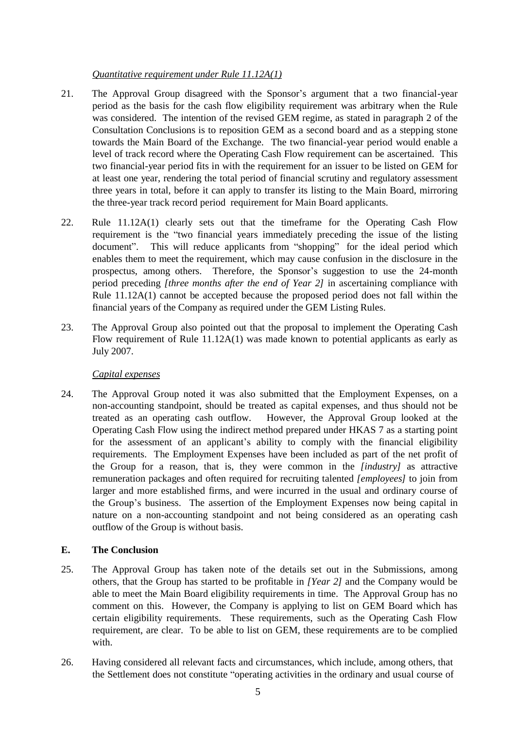#### *Quantitative requirement under Rule 11.12A(1)*

- 21. The Approval Group disagreed with the Sponsor's argument that a two financial-year period as the basis for the cash flow eligibility requirement was arbitrary when the Rule was considered. The intention of the revised GEM regime, as stated in paragraph 2 of the Consultation Conclusions is to reposition GEM as a second board and as a stepping stone towards the Main Board of the Exchange. The two financial-year period would enable a level of track record where the Operating Cash Flow requirement can be ascertained. This two financial-year period fits in with the requirement for an issuer to be listed on GEM for at least one year, rendering the total period of financial scrutiny and regulatory assessment three years in total, before it can apply to transfer its listing to the Main Board, mirroring the three-year track record period requirement for Main Board applicants.
- 22. Rule 11.12A(1) clearly sets out that the timeframe for the Operating Cash Flow requirement is the "two financial years immediately preceding the issue of the listing document". This will reduce applicants from "shopping" for the ideal period which enables them to meet the requirement, which may cause confusion in the disclosure in the prospectus, among others. Therefore, the Sponsor's suggestion to use the 24-month period preceding *[three months after the end of Year 2]* in ascertaining compliance with Rule 11.12A(1) cannot be accepted because the proposed period does not fall within the financial years of the Company as required under the GEM Listing Rules.
- 23. The Approval Group also pointed out that the proposal to implement the Operating Cash Flow requirement of Rule 11.12A(1) was made known to potential applicants as early as July 2007.

# *Capital expenses*

24. The Approval Group noted it was also submitted that the Employment Expenses, on a non-accounting standpoint, should be treated as capital expenses, and thus should not be treated as an operating cash outflow. However, the Approval Group looked at the Operating Cash Flow using the indirect method prepared under HKAS 7 as a starting point for the assessment of an applicant's ability to comply with the financial eligibility requirements. The Employment Expenses have been included as part of the net profit of the Group for a reason, that is, they were common in the *[industry]* as attractive remuneration packages and often required for recruiting talented *[employees]* to join from larger and more established firms, and were incurred in the usual and ordinary course of the Group's business. The assertion of the Employment Expenses now being capital in nature on a non-accounting standpoint and not being considered as an operating cash outflow of the Group is without basis.

# **E. The Conclusion**

- 25. The Approval Group has taken note of the details set out in the Submissions, among others, that the Group has started to be profitable in *[Year 2]* and the Company would be able to meet the Main Board eligibility requirements in time. The Approval Group has no comment on this. However, the Company is applying to list on GEM Board which has certain eligibility requirements. These requirements, such as the Operating Cash Flow requirement, are clear. To be able to list on GEM, these requirements are to be complied with.
- 26. Having considered all relevant facts and circumstances, which include, among others, that the Settlement does not constitute "operating activities in the ordinary and usual course of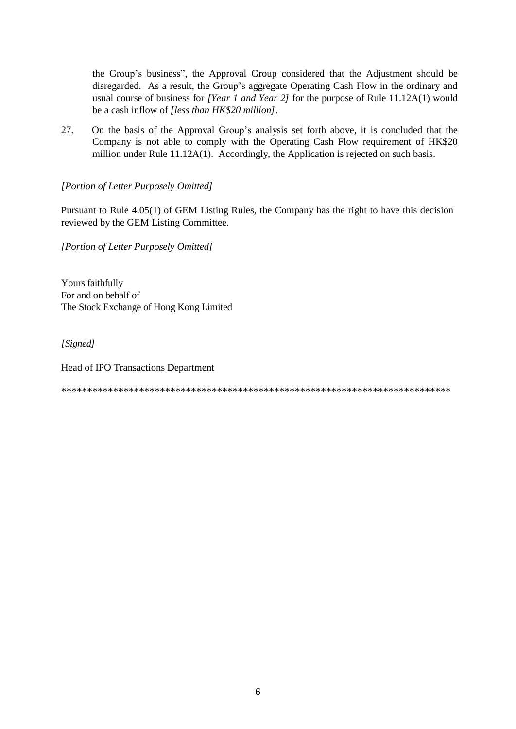the Group's business", the Approval Group considered that the Adjustment should be disregarded. As a result, the Group's aggregate Operating Cash Flow in the ordinary and usual course of business for *[Year 1 and Year 2]* for the purpose of Rule 11.12A(1) would be a cash inflow of *[less than HK\$20 million]*.

27. On the basis of the Approval Group's analysis set forth above, it is concluded that the Company is not able to comply with the Operating Cash Flow requirement of HK\$20 million under Rule 11.12A(1). Accordingly, the Application is rejected on such basis.

*[Portion of Letter Purposely Omitted]*

Pursuant to Rule 4.05(1) of GEM Listing Rules, the Company has the right to have this decision reviewed by the GEM Listing Committee.

*[Portion of Letter Purposely Omitted]*

Yours faithfully For and on behalf of The Stock Exchange of Hong Kong Limited

*[Signed]*

Head of IPO Transactions Department

\*\*\*\*\*\*\*\*\*\*\*\*\*\*\*\*\*\*\*\*\*\*\*\*\*\*\*\*\*\*\*\*\*\*\*\*\*\*\*\*\*\*\*\*\*\*\*\*\*\*\*\*\*\*\*\*\*\*\*\*\*\*\*\*\*\*\*\*\*\*\*\*\*\*\*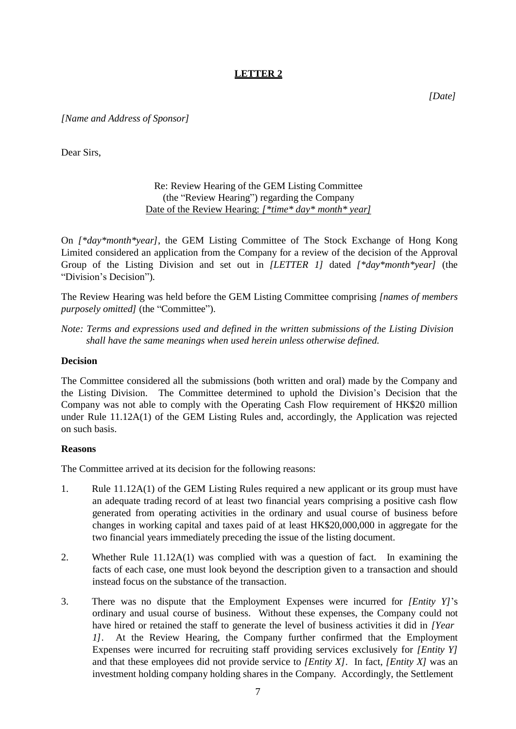# **LETTER 2**

*[Date]*

*[Name and Address of Sponsor]*

Dear Sirs,

Re: Review Hearing of the GEM Listing Committee (the "Review Hearing") regarding the Company Date of the Review Hearing: *[\*time\* day\* month\* year]*

On *[\*day\*month\*year]*, the GEM Listing Committee of The Stock Exchange of Hong Kong Limited considered an application from the Company for a review of the decision of the Approval Group of the Listing Division and set out in *[LETTER 1]* dated *[\*day\*month\*year]* (the "Division's Decision")*.*

The Review Hearing was held before the GEM Listing Committee comprising *[names of members purposely omitted]* (the "Committee").

*Note: Terms and expressions used and defined in the written submissions of the Listing Division shall have the same meanings when used herein unless otherwise defined.*

#### **Decision**

The Committee considered all the submissions (both written and oral) made by the Company and the Listing Division. The Committee determined to uphold the Division's Decision that the Company was not able to comply with the Operating Cash Flow requirement of HK\$20 million under Rule 11.12A(1) of the GEM Listing Rules and, accordingly, the Application was rejected on such basis.

#### **Reasons**

The Committee arrived at its decision for the following reasons:

- 1. Rule 11.12A(1) of the GEM Listing Rules required a new applicant or its group must have an adequate trading record of at least two financial years comprising a positive cash flow generated from operating activities in the ordinary and usual course of business before changes in working capital and taxes paid of at least HK\$20,000,000 in aggregate for the two financial years immediately preceding the issue of the listing document.
- 2. Whether Rule 11.12A(1) was complied with was a question of fact. In examining the facts of each case, one must look beyond the description given to a transaction and should instead focus on the substance of the transaction.
- 3. There was no dispute that the Employment Expenses were incurred for *[Entity Y]*'s ordinary and usual course of business. Without these expenses, the Company could not have hired or retained the staff to generate the level of business activities it did in *[Year 1]*. At the Review Hearing, the Company further confirmed that the Employment Expenses were incurred for recruiting staff providing services exclusively for *[Entity Y]*  and that these employees did not provide service to *[Entity X]*. In fact, *[Entity X]* was an investment holding company holding shares in the Company. Accordingly, the Settlement